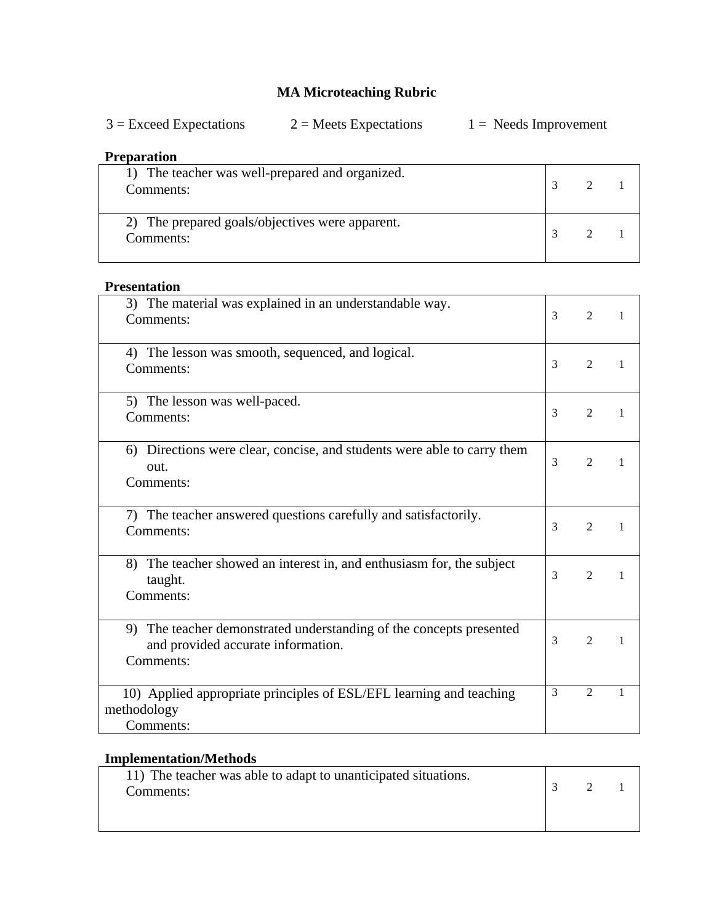# **MA Microteaching Rubric**

| $3 =$ Exceed Expectations | $2$ = Meets Expectations | $1 =$ Needs Improvement |
|---------------------------|--------------------------|-------------------------|
|---------------------------|--------------------------|-------------------------|

## **Preparation**

| 1) The teacher was well-prepared and organized.<br>Comments: |  |  |
|--------------------------------------------------------------|--|--|
| 2) The prepared goals/objectives were apparent.<br>Comments: |  |  |

#### **Presentation**

| 3) The material was explained in an understandable way.<br>Comments:                                                      | 3 | 2                           | 1 |
|---------------------------------------------------------------------------------------------------------------------------|---|-----------------------------|---|
| 4) The lesson was smooth, sequenced, and logical.<br>Comments:                                                            | 3 | 2                           |   |
| 5) The lesson was well-paced.<br>Comments:                                                                                | 3 | 2                           |   |
| 6) Directions were clear, concise, and students were able to carry them<br>out.<br>Comments:                              | 3 | 2                           | 1 |
| 7) The teacher answered questions carefully and satisfactorily.<br>Comments:                                              | 3 | $\mathfrak{D}$              |   |
| The teacher showed an interest in, and enthusiasm for, the subject<br>8)<br>taught.<br>Comments:                          | 3 | $\mathcal{D}_{\mathcal{L}}$ |   |
| The teacher demonstrated understanding of the concepts presented<br>9)<br>and provided accurate information.<br>Comments: | 3 | $\overline{2}$              |   |
| 10) Applied appropriate principles of ESL/EFL learning and teaching<br>methodology<br>Comments:                           | 3 | $\overline{2}$              | 1 |

# **Implementation/Methods**

| 11) The teacher was able to adapt to unanticipated situations. | 2 |  |
|----------------------------------------------------------------|---|--|
| Comments:                                                      |   |  |
|                                                                |   |  |
|                                                                |   |  |